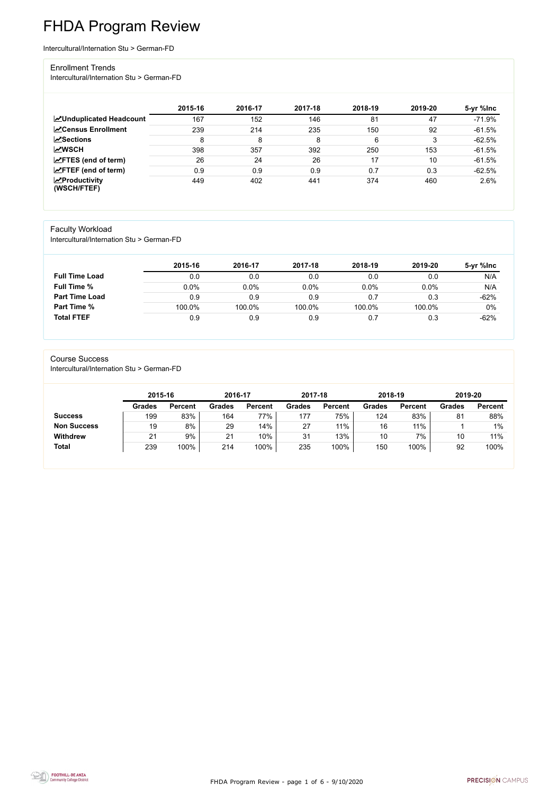FHDA Program Review - page 1 of 6 - 9/10/2020



# FHDA Program Review

Intercultural/Internation Stu > German-FD

#### Enrollment Trends

Intercultural/Internation Stu > German-FD

|                                                  | 2015-16 | 2016-17 | 2017-18 | 2018-19 | 2019-20 | 5-yr %lnc |
|--------------------------------------------------|---------|---------|---------|---------|---------|-----------|
| <b>ZUnduplicated Headcount</b>                   | 167     | 152     | 146     | 81      | 47      | $-71.9%$  |
| <b>ZCensus Enrollment</b>                        | 239     | 214     | 235     | 150     | 92      | $-61.5%$  |
| <b>ZSections</b>                                 | 8       | 8       | 8       | 6       | 3       | $-62.5%$  |
| <b>MWSCH</b>                                     | 398     | 357     | 392     | 250     | 153     | $-61.5%$  |
| $\angle$ FTES (end of term)                      | 26      | 24      | 26      | 17      | 10      | $-61.5%$  |
| $\angle$ FTEF (end of term)                      | 0.9     | 0.9     | 0.9     | 0.7     | 0.3     | $-62.5%$  |
| $\sqrt{\frac{1}{2}}$ Productivity<br>(WSCH/FTEF) | 449     | 402     | 441     | 374     | 460     | 2.6%      |

### Faculty Workload

Intercultural/Internation Stu > German-FD

|                       | 2015-16 | 2016-17 | 2017-18 | 2018-19 | 2019-20 | 5-yr %Inc |
|-----------------------|---------|---------|---------|---------|---------|-----------|
| <b>Full Time Load</b> | 0.0     | 0.0     | 0.0     | 0.0     | 0.0     | N/A       |
| <b>Full Time %</b>    | 0.0%    | 0.0%    | 0.0%    | 0.0%    | 0.0%    | N/A       |
| <b>Part Time Load</b> | 0.9     | 0.9     | 0.9     | 0.7     | 0.3     | $-62%$    |
| <b>Part Time %</b>    | 100.0%  | 100.0%  | 100.0%  | 100.0%  | 100.0%  | $0\%$     |
| <b>Total FTEF</b>     | 0.9     | 0.9     | 0.9     | 0.7     | 0.3     | $-62%$    |

#### Course Success

Intercultural/Internation Stu > German-FD

| 2015-16       |                | 2016-17       |                | 2017-18       |                | 2018-19       |                | 2019-20       |                |
|---------------|----------------|---------------|----------------|---------------|----------------|---------------|----------------|---------------|----------------|
| <b>Grades</b> | <b>Percent</b> | <b>Grades</b> | <b>Percent</b> | <b>Grades</b> | <b>Percent</b> | <b>Grades</b> | <b>Percent</b> | <b>Grades</b> | <b>Percent</b> |
| 199           | 83%            | 164           | 77%            | 177           | 75%            | 124           | 83%            | 81            | 88%            |
| 19            | 8%             | 29            | 14%            | 27            | 11%            | 16            | 11%            |               | $1\%$          |
| 21            | 9%             | 21            | 10%            | 31            | 13%            | 10            | 7%             | 10            | 11%            |
| 239           | 100%           | 214           | 100%           | 235           | 100%           | 150           | 100%           | 92            | 100%           |
|               |                |               |                |               |                |               |                |               |                |

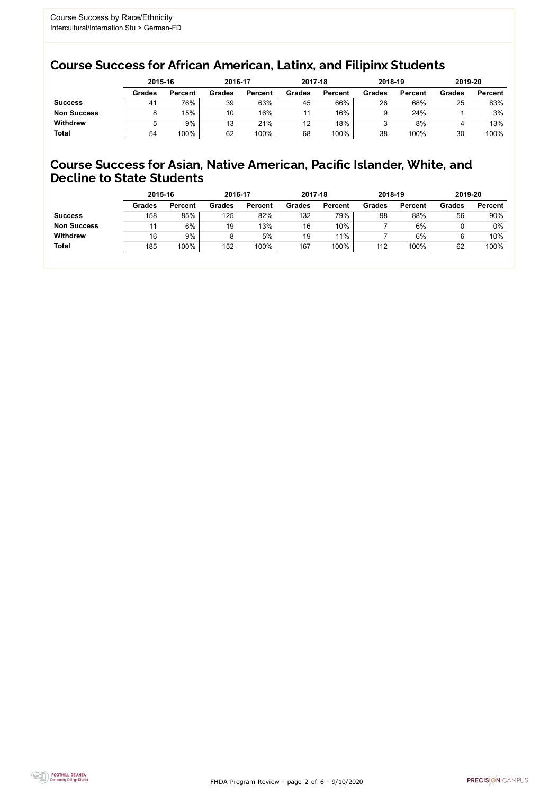FHDA Program Review - page 2 of 6 - 9/10/2020



### Course Success for African American, Latinx, and Filipinx Students

### Course Success for Asian, Native American, Pacific Islander, White, and Decline to State Students

|                    | 2015-16       |                | 2016-17       |                |               | 2017-18        |               | 2018-19        | 2019-20       |                |
|--------------------|---------------|----------------|---------------|----------------|---------------|----------------|---------------|----------------|---------------|----------------|
|                    | <b>Grades</b> | <b>Percent</b> | <b>Grades</b> | <b>Percent</b> | <b>Grades</b> | <b>Percent</b> | <b>Grades</b> | <b>Percent</b> | <b>Grades</b> | <b>Percent</b> |
| <b>Success</b>     | 41            | 76%            | 39            | 63%            | 45            | 66%            | 26            | 68%            | 25            | 83%            |
| <b>Non Success</b> |               | 15%            | 10            | 16%            |               | 16%            |               | 24%            |               | 3%             |
| <b>Withdrew</b>    |               | 9%             | 13            | 21%            | 12            | 18%            |               | 8%             |               | 13%            |
| <b>Total</b>       | 54            | 100%           | 62            | 100%           | 68            | 100%           | 38            | 100%           | 30            | 100%           |

|                    | 2015-16       |                | 2016-17       |                | 2017-18       |                | 2018-19       |                | 2019-20       |                |
|--------------------|---------------|----------------|---------------|----------------|---------------|----------------|---------------|----------------|---------------|----------------|
|                    | <b>Grades</b> | <b>Percent</b> | <b>Grades</b> | <b>Percent</b> | <b>Grades</b> | <b>Percent</b> | <b>Grades</b> | <b>Percent</b> | <b>Grades</b> | <b>Percent</b> |
| <b>Success</b>     | 158           | 85%            | 125           | 82%            | 132           | 79%            | 98            | 88%            | 56            | 90%            |
| <b>Non Success</b> | 11            | 6%             | 19            | 13%            | 16            | 10%            |               | 6%             |               | 0%             |
| <b>Withdrew</b>    | 16            | 9%             |               | 5%             | 19            | 11%            |               | 6%             | 6             | 10%            |
| <b>Total</b>       | 185           | 100%           | 152           | 100%           | 167           | 100%           | 112           | 100%           | 62            | 100%           |
|                    |               |                |               |                |               |                |               |                |               |                |

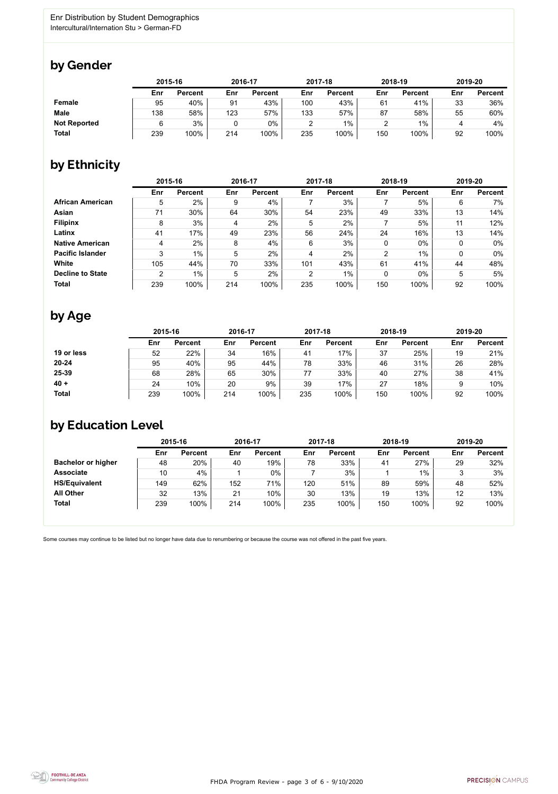

Some courses may continue to be listed but no longer have data due to renumbering or because the course was not offered in the past five years.



### by Gender

|                     | 2015-16 |                |     | 2016-17        |        | 2017-18        |     | 2018-19        |     | 2019-20        |  |
|---------------------|---------|----------------|-----|----------------|--------|----------------|-----|----------------|-----|----------------|--|
|                     | Enr     | <b>Percent</b> | Enr | <b>Percent</b> | Enr    | <b>Percent</b> | Enr | <b>Percent</b> | Enr | <b>Percent</b> |  |
| <b>Female</b>       | 95      | 40%            | 91  | 43%            | 100    | 43%            | 61  | 41%            | 33  | 36%            |  |
| <b>Male</b>         | 138     | 58%            | 123 | 57%            | 133    | 57%            | 87  | 58%            | 55  | 60%            |  |
| <b>Not Reported</b> |         | 3%             |     | 0%             | ◠<br>∸ | $1\%$          |     | $1\%$          |     | 4%             |  |
| <b>Total</b>        | 239     | 100%           | 214 | 100%           | 235    | 100%           | 150 | 100%           | 92  | 100%           |  |

### by Ethnicity

|                         | 2015-16 |                |     | 2016-17        |                | 2017-18        |     | 2018-19        |     | 2019-20        |
|-------------------------|---------|----------------|-----|----------------|----------------|----------------|-----|----------------|-----|----------------|
|                         | Enr     | <b>Percent</b> | Enr | <b>Percent</b> | Enr            | <b>Percent</b> | Enr | <b>Percent</b> | Enr | <b>Percent</b> |
| <b>African American</b> | 5       | 2%             | 9   | 4%             |                | 3%             |     | 5%             | 6   | 7%             |
| <b>Asian</b>            | 71      | 30%            | 64  | 30%            | 54             | 23%            | 49  | 33%            | 13  | 14%            |
| <b>Filipinx</b>         | 8       | 3%             | 4   | 2%             | 5              | 2%             |     | 5%             | 11  | 12%            |
| Latinx                  | 41      | 17%            | 49  | 23%            | 56             | 24%            | 24  | 16%            | 13  | 14%            |
| <b>Native American</b>  | 4       | 2%             | 8   | 4%             | 6              | 3%             | 0   | $0\%$          | 0   | $0\%$          |
| <b>Pacific Islander</b> | 3       | 1%             | 5   | 2%             | 4              | 2%             | 2   | $1\%$          |     | $0\%$          |
| <b>White</b>            | 105     | 44%            | 70  | 33%            | 101            | 43%            | 61  | 41%            | 44  | 48%            |
| <b>Decline to State</b> | 2       | 1%             | 5   | 2%             | $\overline{2}$ | $1\%$          | 0   | $0\%$          | 5   | 5%             |
| <b>Total</b>            | 239     | 100%           | 214 | 100%           | 235            | 100%           | 150 | 100%           | 92  | 100%           |

### by Age

|              | 2015-16 |                |     | 2016-17        |     | 2017-18        | 2018-19 |                | 2019-20 |                |
|--------------|---------|----------------|-----|----------------|-----|----------------|---------|----------------|---------|----------------|
|              | Enr     | <b>Percent</b> | Enr | <b>Percent</b> | Enr | <b>Percent</b> | Enr     | <b>Percent</b> | Enr     | <b>Percent</b> |
| 19 or less   | 52      | 22%            | 34  | 16%            | 41  | 17%            | 37      | 25%            | 19      | 21%            |
| $20 - 24$    | 95      | 40%            | 95  | 44%            | 78  | 33%            | 46      | 31%            | 26      | 28%            |
| 25-39        | 68      | 28%            | 65  | 30%            | 77  | 33%            | 40      | 27%            | 38      | 41%            |
| $40 +$       | 24      | 10%            | 20  | 9%             | 39  | 17%            | 27      | 18%            |         | 10%            |
| <b>Total</b> | 239     | 100%           | 214 | 100%           | 235 | 100%           | 150     | 100%           | 92      | 100%           |

## by Education Level

|                           | 2015-16 |                |     | 2016-17        |     | 2017-18        |     | 2018-19        | 2019-20 |                |
|---------------------------|---------|----------------|-----|----------------|-----|----------------|-----|----------------|---------|----------------|
|                           | Enr     | <b>Percent</b> | Enr | <b>Percent</b> | Enr | <b>Percent</b> | Enr | <b>Percent</b> | Enr     | <b>Percent</b> |
| <b>Bachelor or higher</b> | 48      | 20%            | 40  | 19%            | 78  | 33%            | 41  | 27%            | 29      | 32%            |
| <b>Associate</b>          | 10      | 4%             |     | 0%             |     | 3%             |     | $1\%$          |         | 3%             |
| <b>HS/Equivalent</b>      | 149     | 62%            | 152 | 71%            | 120 | 51%            | 89  | 59%            | 48      | 52%            |
| <b>All Other</b>          | 32      | 13%            | 21  | 10%            | 30  | 13%            | 19  | 13%            | 12      | 13%            |
| <b>Total</b>              | 239     | 100%           | 214 | 100%           | 235 | 100%           | 150 | 100%           | 92      | 100%           |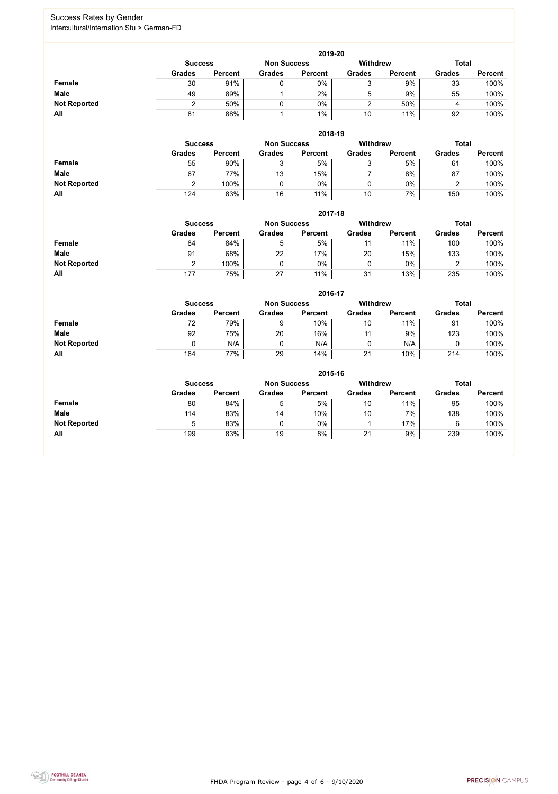FHDA Program Review - page 4 of 6 - 9/10/2020



#### Success Rates by Gender Intercultural/Internation Stu > German-FD

|                     | 2019-20        |                |                    |                 |               |                |               |                |  |  |  |  |  |
|---------------------|----------------|----------------|--------------------|-----------------|---------------|----------------|---------------|----------------|--|--|--|--|--|
|                     | <b>Success</b> |                | <b>Non Success</b> | <b>Withdrew</b> |               | <b>Total</b>   |               |                |  |  |  |  |  |
|                     | <b>Grades</b>  | <b>Percent</b> | <b>Grades</b>      | <b>Percent</b>  | <b>Grades</b> | <b>Percent</b> | <b>Grades</b> | <b>Percent</b> |  |  |  |  |  |
| <b>Female</b>       | 30             | 91%            |                    | $0\%$           | ັ             | 9%             | 33            | 100%           |  |  |  |  |  |
| <b>Male</b>         | 49             | 89%            |                    | 2%              | b             | 9%             | 55            | 100%           |  |  |  |  |  |
| <b>Not Reported</b> |                | 50%            |                    | 0%              |               | 50%            |               | 100%           |  |  |  |  |  |
| All                 | 81             | 88%            |                    | $1\%$           | 10            | 11%            | 92            | 100%           |  |  |  |  |  |

|                     |                | 2018-19        |                    |                |                 |                |               |                |  |  |  |  |  |  |
|---------------------|----------------|----------------|--------------------|----------------|-----------------|----------------|---------------|----------------|--|--|--|--|--|--|
|                     | <b>Success</b> |                | <b>Non Success</b> |                | <b>Withdrew</b> |                | <b>Total</b>  |                |  |  |  |  |  |  |
|                     | <b>Grades</b>  | <b>Percent</b> | <b>Grades</b>      | <b>Percent</b> | <b>Grades</b>   | <b>Percent</b> | <b>Grades</b> | <b>Percent</b> |  |  |  |  |  |  |
| <b>Female</b>       | 55             | 90%            | J                  | 5%             | ບ               | 5%             | 61            | 100%           |  |  |  |  |  |  |
| <b>Male</b>         | 67             | 77%            | 13                 | 15%            |                 | 8%             | 87            | 100%           |  |  |  |  |  |  |
| <b>Not Reported</b> |                | 100%           |                    | 0%             |                 | $0\%$          |               | 100%           |  |  |  |  |  |  |
| All                 | 124            | 83%            | 16                 | 11%            | 10              | 7%             | 150           | 100%           |  |  |  |  |  |  |

|                     |                | 2017-18        |                    |                |                 |                |               |                |  |  |  |  |  |  |
|---------------------|----------------|----------------|--------------------|----------------|-----------------|----------------|---------------|----------------|--|--|--|--|--|--|
|                     | <b>Success</b> |                | <b>Non Success</b> |                | <b>Withdrew</b> |                | <b>Total</b>  |                |  |  |  |  |  |  |
|                     | <b>Grades</b>  | <b>Percent</b> | <b>Grades</b>      | <b>Percent</b> | <b>Grades</b>   | <b>Percent</b> | <b>Grades</b> | <b>Percent</b> |  |  |  |  |  |  |
| Female              | 84             | 84%            | 5                  | 5%             | 11              | 11%            | 100           | 100%           |  |  |  |  |  |  |
| <b>Male</b>         | 91             | 68%            | 22                 | 17%            | 20              | 15%            | 133           | 100%           |  |  |  |  |  |  |
| <b>Not Reported</b> |                | 100%           |                    | $0\%$          | 0               | 0%             | ⌒<br>▵        | 100%           |  |  |  |  |  |  |
| All                 | 177            | 75%            | 27                 | 11%            | 31              | 13%            | 235           | 100%           |  |  |  |  |  |  |

|                     |                                                                         | 2016-17        |               |                |               |                |               |                |  |  |
|---------------------|-------------------------------------------------------------------------|----------------|---------------|----------------|---------------|----------------|---------------|----------------|--|--|
|                     | <b>Withdrew</b><br><b>Total</b><br><b>Non Success</b><br><b>Success</b> |                |               |                |               |                |               |                |  |  |
|                     | <b>Grades</b>                                                           | <b>Percent</b> | <b>Grades</b> | <b>Percent</b> | <b>Grades</b> | <b>Percent</b> | <b>Grades</b> | <b>Percent</b> |  |  |
| <b>Female</b>       | 72                                                                      | 79%            | 9             | 10%            | 10            | 11%            | 91            | 100%           |  |  |
| <b>Male</b>         | 92                                                                      | 75%            | 20            | 16%            | 11            | 9%             | 123           | 100%           |  |  |
| <b>Not Reported</b> | 0                                                                       | N/A            |               | N/A            | 0             | N/A            |               | 100%           |  |  |
| All                 | 164                                                                     | 77%            | 29            | 14%            | 21            | 10%            | 214           | 100%           |  |  |

|                     |                                                                         | 2015-16        |               |                |               |                |               |                |  |  |
|---------------------|-------------------------------------------------------------------------|----------------|---------------|----------------|---------------|----------------|---------------|----------------|--|--|
|                     | <b>Withdrew</b><br><b>Total</b><br><b>Non Success</b><br><b>Success</b> |                |               |                |               |                |               |                |  |  |
|                     | <b>Grades</b>                                                           | <b>Percent</b> | <b>Grades</b> | <b>Percent</b> | <b>Grades</b> | <b>Percent</b> | <b>Grades</b> | <b>Percent</b> |  |  |
| Female              | 80                                                                      | 84%            | 5             | 5%             | 10            | 11%            | 95            | 100%           |  |  |
| <b>Male</b>         | 114                                                                     | 83%            | 14            | 10%            | 10            | 7%             | 138           | 100%           |  |  |
| <b>Not Reported</b> | 5                                                                       | 83%            |               | 0%             |               | 17%            | 6             | 100%           |  |  |
| All                 | 199                                                                     | 83%            | 19            | 8%             | 21            | 9%             | 239           | 100%           |  |  |

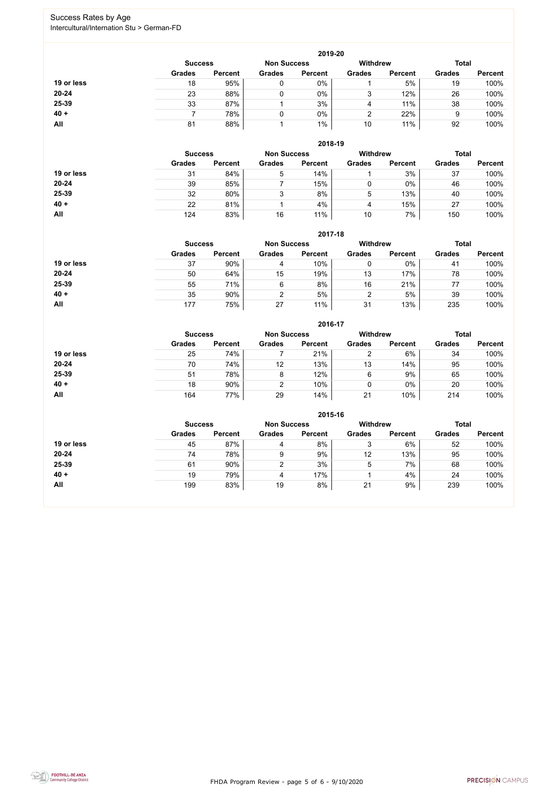FHDA Program Review - page 5 of 6 - 9/10/2020



### Success Rates by Age Intercultural/Internation Stu > German-FD

|            |                |                    |               | 2019-20         |               |                |               |                |
|------------|----------------|--------------------|---------------|-----------------|---------------|----------------|---------------|----------------|
|            | <b>Success</b> | <b>Non Success</b> |               | <b>Withdrew</b> |               | <b>Total</b>   |               |                |
|            | <b>Grades</b>  | <b>Percent</b>     | <b>Grades</b> | <b>Percent</b>  | <b>Grades</b> | <b>Percent</b> | <b>Grades</b> | <b>Percent</b> |
| 19 or less | 18             | 95%                | 0             | 0%              |               | 5%             | 19            | 100%           |
| 20-24      | 23             | 88%                |               | $0\%$           | ົ<br>J        | 12%            | 26            | 100%           |
| 25-39      | 33             | 87%                |               | 3%              | 4             | 11%            | 38            | 100%           |
| $40 +$     |                | 78%                |               | $0\%$           |               | 22%            | 9             | 100%           |
| All        | 81             | 88%                |               | $1\%$           | 10            | 11%            | 92            | 100%           |

|            |                |                |                    | 2018-19        |                 |                |               |                |
|------------|----------------|----------------|--------------------|----------------|-----------------|----------------|---------------|----------------|
|            | <b>Success</b> |                | <b>Non Success</b> |                | <b>Withdrew</b> |                | <b>Total</b>  |                |
|            | <b>Grades</b>  | <b>Percent</b> | <b>Grades</b>      | <b>Percent</b> | <b>Grades</b>   | <b>Percent</b> | <b>Grades</b> | <b>Percent</b> |
| 19 or less | 31             | 84%            | 5                  | 14%            |                 | 3%             | 37            | 100%           |
| $20 - 24$  | 39             | 85%            |                    | 15%            |                 | $0\%$          | 46            | 100%           |
| 25-39      | 32             | 80%            | 3                  | 8%             | 5               | 13%            | 40            | 100%           |
| $40 +$     | 22             | 81%            |                    | 4%             | 4               | 15%            | 27            | 100%           |
| All        | 124            | 83%            | 16                 | 11%            | 10              | 7%             | 150           | 100%           |

|            |                                                                         |                |               | 2017-18        |               |                |               |                |
|------------|-------------------------------------------------------------------------|----------------|---------------|----------------|---------------|----------------|---------------|----------------|
|            | <b>Withdrew</b><br><b>Total</b><br><b>Non Success</b><br><b>Success</b> |                |               |                |               |                |               |                |
|            | <b>Grades</b>                                                           | <b>Percent</b> | <b>Grades</b> | <b>Percent</b> | <b>Grades</b> | <b>Percent</b> | <b>Grades</b> | <b>Percent</b> |
| 19 or less | 37                                                                      | 90%            | 4             | 10%            | 0             | 0%             | 41            | 100%           |
| $20 - 24$  | 50                                                                      | 64%            | 15            | 19%            | 13            | 17%            | 78            | 100%           |
| 25-39      | 55                                                                      | 71%            | 6             | 8%             | 16            | 21%            | 77            | 100%           |
| $40 +$     | 35                                                                      | 90%            | っ             | 5%             | 2             | 5%             | 39            | 100%           |
| <b>All</b> | 177                                                                     | 75%            | 27            | 11%            | 31            | 13%            | 235           | 100%           |

|            |                |                    |               | 2016-17         |               |                |               |                |
|------------|----------------|--------------------|---------------|-----------------|---------------|----------------|---------------|----------------|
|            | <b>Success</b> | <b>Non Success</b> |               | <b>Withdrew</b> |               | <b>Total</b>   |               |                |
|            | <b>Grades</b>  | <b>Percent</b>     | <b>Grades</b> | <b>Percent</b>  | <b>Grades</b> | <b>Percent</b> | <b>Grades</b> | <b>Percent</b> |
| 19 or less | 25             | 74%                |               | 21%             |               | 6%             | 34            | 100%           |
| $20 - 24$  | 70             | 74%                | 12            | 13%             | 13            | 14%            | 95            | 100%           |
| 25-39      | 51             | 78%                | 8             | 12%             | 6             | 9%             | 65            | 100%           |
| $40 +$     | 18             | 90%                | 2             | 10%             | 0             | $0\%$          | 20            | 100%           |
| All        | 164            | 77%                | 29            | 14%             | 21            | 10%            | 214           | 100%           |

|            |                |                    |               | 2015-16         |               |                |               |                |
|------------|----------------|--------------------|---------------|-----------------|---------------|----------------|---------------|----------------|
|            | <b>Success</b> | <b>Non Success</b> |               | <b>Withdrew</b> |               | <b>Total</b>   |               |                |
|            | <b>Grades</b>  | <b>Percent</b>     | <b>Grades</b> | <b>Percent</b>  | <b>Grades</b> | <b>Percent</b> | <b>Grades</b> | <b>Percent</b> |
| 19 or less | 45             | 87%                | 4             | 8%              | ◡             | 6%             | 52            | 100%           |
| 20-24      | 74             | 78%                | 9             | 9%              | 12            | 13%            | 95            | 100%           |
| 25-39      | 61             | 90%                | ົ             | 3%              | 5             | 7%             | 68            | 100%           |
| $40 +$     | 19             | 79%                | 4             | 17%             |               | 4%             | 24            | 100%           |
| All        | 199            | 83%                | 19            | 8%              | 21            | 9%             | 239           | 100%           |